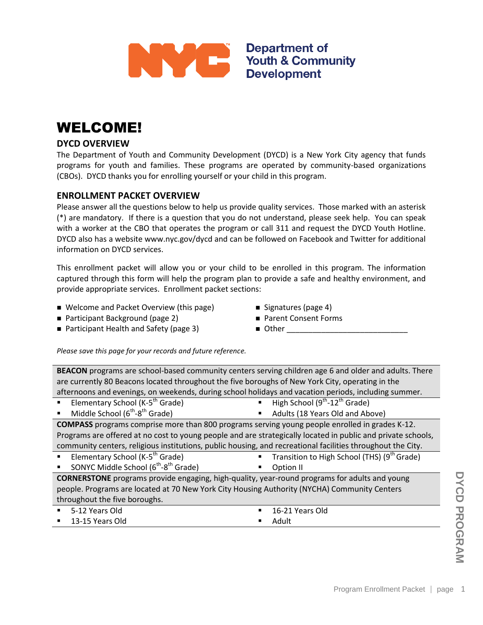

## WELCOME!

### **DYCD OVERVIEW**

The Department of Youth and Community Development (DYCD) is a New York City agency that funds programs for youth and families. These programs are operated by community-based organizations (CBOs). DYCD thanks you for enrolling yourself or your child in this program.

### **ENROLLMENT PACKET OVERVIEW**

Please answer all the questions below to help us provide quality services. Those marked with an asterisk (\*) are mandatory. If there is a question that you do not understand, please seek help. You can speak with a worker at the CBO that operates the program or call 311 and request the DYCD Youth Hotline. DYCD also has a website www.nyc.gov/dycd and can be followed on Facebook and Twitter for additional information on DYCD services.

This enrollment packet will allow you or your child to be enrolled in this program. The information captured through this form will help the program plan to provide a safe and healthy environment, and provide appropriate services. Enrollment packet sections:

- Welcome and Packet Overview (this page) Signatures (page 4)
- Participant Background (page 2)
- 
- 
- Parent Consent Forms
- Participant Health and Safety (page 3)
- $\blacksquare$  Other

*Please save this page for your records and future reference.*

**BEACON** programs are school-based community centers serving children age 6 and older and adults. There are currently 80 Beacons located throughout the five boroughs of New York City, operating in the afternoons and evenings, on weekends, during school holidays and vacation periods, including summer.

- Elementary School (K-5<sup>th</sup> Grade) High School (9<sup>th</sup>-12<sup>th</sup> Grade)  $\blacksquare$  Middle School (6<sup>th</sup>-8<sup>th</sup> Grade) **Adults (18 Years Old and Above) COMPASS** programs comprise more than 800 programs serving young people enrolled in grades K-12. Programs are offered at no cost to young people and are strategically located in public and private schools, community centers, religious institutions, public housing, and recreational facilities throughout the City. **Elementary School (K-5<sup>th</sup> Grade) Transition to High School (THS) (9<sup>th</sup> Grade)**
- SONYC Middle School (6<sup>th</sup>-8<sup>th</sup> Grade) **C** Option II

Program Enrollment Packet | page 1 **CORNERSTONE** programs provide engaging, high-quality, year-round programs for adults and young people. Programs are located at 70 New York City Housing Authority (NYCHA) Community Centers throughout the five boroughs.

| $-5-12$ Years Old              | $\blacksquare$ 16-21 Years Old |
|--------------------------------|--------------------------------|
| $\blacksquare$ 13-15 Years Old | ■ Adult                        |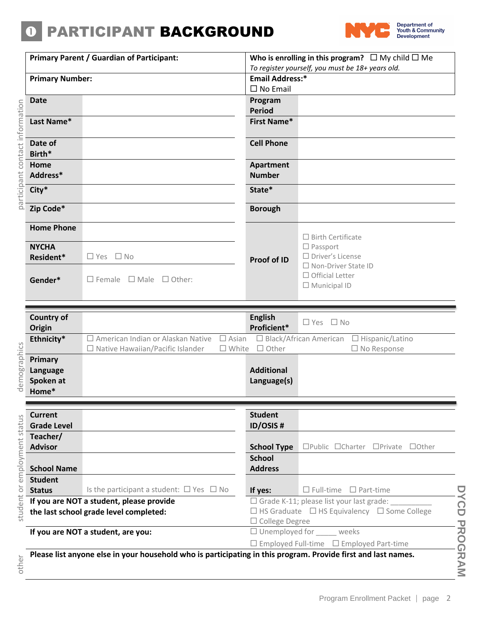## **O PARTICIPANT BACKGROUND**



|                     |                                                | <b>Primary Parent / Guardian of Participant:</b>                                                                          | Who is enrolling in this program? $\Box$ My child $\Box$ Me<br>To register yourself, you must be 18+ years old.<br><b>Email Address:*</b> |                                                                                                                               |  |
|---------------------|------------------------------------------------|---------------------------------------------------------------------------------------------------------------------------|-------------------------------------------------------------------------------------------------------------------------------------------|-------------------------------------------------------------------------------------------------------------------------------|--|
|                     | <b>Primary Number:</b>                         |                                                                                                                           |                                                                                                                                           |                                                                                                                               |  |
|                     |                                                |                                                                                                                           | $\square$ No Email                                                                                                                        |                                                                                                                               |  |
|                     | <b>Date</b>                                    |                                                                                                                           | Program<br><b>Period</b>                                                                                                                  |                                                                                                                               |  |
| contact information | Last Name*                                     |                                                                                                                           | <b>First Name*</b>                                                                                                                        |                                                                                                                               |  |
|                     | Date of<br>Birth*                              |                                                                                                                           | <b>Cell Phone</b>                                                                                                                         |                                                                                                                               |  |
|                     | Home<br>Address*                               |                                                                                                                           | Apartment<br><b>Number</b>                                                                                                                |                                                                                                                               |  |
| participant         | City*                                          |                                                                                                                           | State*                                                                                                                                    |                                                                                                                               |  |
|                     | Zip Code*                                      |                                                                                                                           | <b>Borough</b>                                                                                                                            |                                                                                                                               |  |
|                     | <b>Home Phone</b><br><b>NYCHA</b><br>Resident* | $\Box$ Yes $\Box$ No                                                                                                      | Proof of ID                                                                                                                               | $\Box$ Birth Certificate<br>$\Box$ Passport<br>$\Box$ Driver's License                                                        |  |
|                     | Gender*                                        | $\Box$ Female $\Box$ Male $\Box$ Other:                                                                                   |                                                                                                                                           | □ Non-Driver State ID<br>$\Box$ Official Letter<br>$\Box$ Municipal ID                                                        |  |
|                     |                                                |                                                                                                                           |                                                                                                                                           |                                                                                                                               |  |
|                     | <b>Country of</b><br>Origin                    |                                                                                                                           | <b>English</b><br>Proficient*                                                                                                             | $\Box$ No<br>$\square$ Yes                                                                                                    |  |
|                     | Ethnicity*                                     | $\Box$ American Indian or Alaskan Native<br>$\square$ Asian<br>$\Box$ Native Hawaiian/Pacific Islander<br>$\square$ White | $\Box$ Other                                                                                                                              | $\Box$ Black/African American<br>$\Box$ Hispanic/Latino<br>$\Box$ No Response                                                 |  |
| demographics        | Primary<br>Language<br>Spoken at<br>Home*      |                                                                                                                           | <b>Additional</b><br>Language(s)                                                                                                          |                                                                                                                               |  |
|                     | <b>Current</b><br><b>Grade Level</b>           |                                                                                                                           | <b>Student</b><br><b>ID/OSIS#</b>                                                                                                         |                                                                                                                               |  |
| employment status   | Teacher/<br><b>Advisor</b>                     |                                                                                                                           | <b>School Type</b>                                                                                                                        | □Public □Charter<br>$\Box$ Private $\Box$ Other                                                                               |  |
|                     | <b>School Name</b>                             |                                                                                                                           | <b>School</b><br><b>Address</b>                                                                                                           |                                                                                                                               |  |
| òr                  | <b>Student</b><br><b>Status</b>                | Is the participant a student: $\Box$ Yes $\Box$ No                                                                        | If yes:                                                                                                                                   | $\bigcup$<br>$\Box$ Full-time $\Box$ Part-time                                                                                |  |
| student             |                                                | If you are NOT a student, please provide<br>the last school grade level completed:                                        | □ College Degree                                                                                                                          | <b>NCD</b><br>$\Box$ Grade K-11; please list your last grade:<br>$\Box$ HS Graduate $\Box$ HS Equivalency $\Box$ Some College |  |
|                     |                                                | If you are NOT a student, are you:                                                                                        |                                                                                                                                           | $\Box$ Unemployed for weeks<br>$\Box$ Employed Full-time $\Box$ Employed Part-time                                            |  |
| other               |                                                | Please list anyone else in your household who is participating in this program. Provide first and last names.             |                                                                                                                                           | <b>PROGRAM</b>                                                                                                                |  |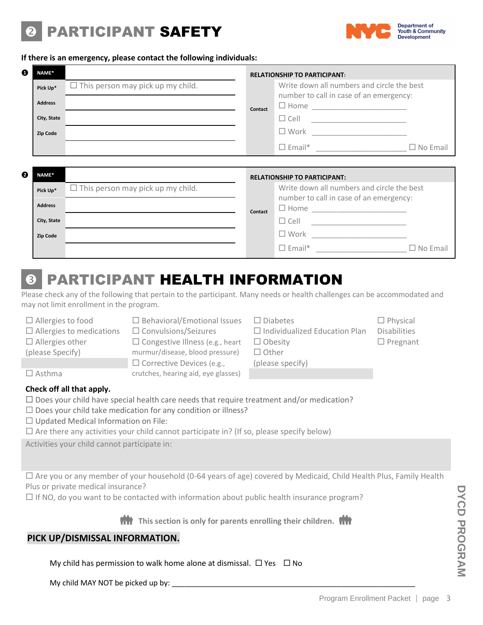# PARTICIPANT SAFETY



#### **If there is an emergency, please contact the following individuals:**

| ❶ | NAME*                                     |                                          |         | <b>RELATIONSHIP TO PARTICIPANT:</b>                                                                                                                                                                            |                 |
|---|-------------------------------------------|------------------------------------------|---------|----------------------------------------------------------------------------------------------------------------------------------------------------------------------------------------------------------------|-----------------|
|   | Pick Up*<br><b>Address</b><br>City, State | $\Box$ This person may pick up my child. | Contact | Write down all numbers and circle the best<br>number to call in case of an emergency:                                                                                                                          |                 |
|   | <b>Zip Code</b>                           |                                          |         | □ Work ________________________                                                                                                                                                                                | $\Box$ No Email |
|   |                                           |                                          |         |                                                                                                                                                                                                                |                 |
|   |                                           |                                          |         |                                                                                                                                                                                                                |                 |
| ❷ | NAME*                                     |                                          |         | <b>RELATIONSHIP TO PARTICIPANT:</b>                                                                                                                                                                            |                 |
|   | Pick Up*                                  | $\Box$ This person may pick up my child. |         | Write down all numbers and circle the best                                                                                                                                                                     |                 |
|   | <b>Address</b>                            |                                          | Contact | number to call in case of an emergency:                                                                                                                                                                        |                 |
|   | City, State                               |                                          |         |                                                                                                                                                                                                                |                 |
|   | <b>Zip Code</b>                           |                                          |         | $\begin{tabular}{ c c c c } \hline \quad & \quad \quad & \quad \quad & \quad \quad \\ \hline \quad \quad & \quad \quad & \quad \quad & \quad \quad \\ \hline \end{tabular}$<br>□ Work ________________________ |                 |

## **8 PARTICIPANT HEALTH INFORMATION**

Please check any of the following that pertain to the participant. Many needs or health challenges can be accommodated and may not limit enrollment in the program.

- $\Box$  Allergies to medications  $\Box$  Convulsions/Seizures  $\Box$  Individualized Education Plan Disabilities  $\Box$  Allergies other (please Specify)
- $\Box$  Allergies to food  $\Box$  Behavioral/Emotional Issues  $\Box$  Diabetes  $\Box$  Physical  $\square$  Congestive Illness (e.g., heart murmur/disease, blood pressure)  $\square$  Corrective Devices (e.g., crutches, hearing aid, eye glasses)
	- $\Box$  Obesity  $\Box$  Pregnant  $\Box$  Other

(please specify)

- 
- 

 $\square$  Asthma

#### **Check off all that apply.**

- $\square$  Does your child have special health care needs that require treatment and/or medication?
- $\Box$  Does your child take medication for any condition or illness?
- $\Box$  Updated Medical Information on File:
- $\Box$  Are there any activities your child cannot participate in? (If so, please specify below)

Activities your child cannot participate in:

 Are you or any member of your household (0-64 years of age) covered by Medicaid, Child Health Plus, Family Health Plus or private medical insurance?

 $\Box$  If NO, do you want to be contacted with information about public health insurance program?

*THI* This section is only for parents enrolling their children. **THI** 

## **PICK UP/DISMISSAL INFORMATION.**

My child has permission to walk home alone at dismissal.  $\Box$  Yes  $\Box$  No

My child MAY NOT be picked up by: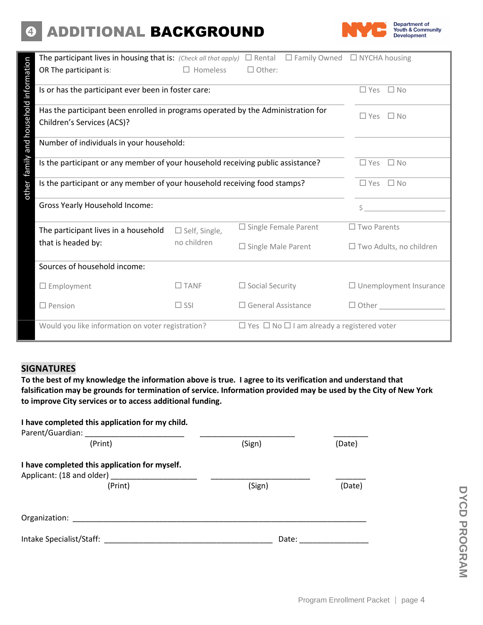## 4 ADDITIONAL BACKGROUND



| The participant lives in housing that is: (Check all that apply) $\Box$ Rental   |                      |                              | $\Box$ Family Owned $\Box$ NYCHA housing                    |                    |                                |
|----------------------------------------------------------------------------------|----------------------|------------------------------|-------------------------------------------------------------|--------------------|--------------------------------|
| OR The participant is:                                                           | $\Box$ Homeless      | $\Box$ Other:                |                                                             |                    |                                |
| Is or has the participant ever been in foster care:                              |                      |                              |                                                             | $\Box$ Yes         | $\square$ No                   |
| Has the participant been enrolled in programs operated by the Administration for |                      |                              |                                                             | $\Box$ Yes         | $\Box$ No                      |
| Children's Services (ACS)?                                                       |                      |                              |                                                             |                    |                                |
| Number of individuals in your household:                                         |                      |                              |                                                             |                    |                                |
| Is the participant or any member of your household receiving public assistance?  |                      |                              |                                                             | $\square$ Yes      | $\Box$ No                      |
| Is the participant or any member of your household receiving food stamps?        |                      |                              |                                                             | $\Box$ Yes         | $\Box$ No                      |
| <b>Gross Yearly Household Income:</b>                                            |                      |                              |                                                             | Ś                  |                                |
| The participant lives in a household                                             | $\Box$ Self, Single, | $\Box$ Single Female Parent  |                                                             | $\Box$ Two Parents |                                |
| that is headed by:                                                               | no children          | $\square$ Single Male Parent |                                                             |                    | $\Box$ Two Adults, no children |
| Sources of household income:                                                     |                      |                              |                                                             |                    |                                |
| $\Box$ Employment                                                                | $\Box$ TANF          | $\Box$ Social Security       |                                                             |                    | $\Box$ Unemployment Insurance  |
| $\Box$ Pension                                                                   | $\Box$ SSI           | $\Box$ General Assistance    |                                                             | $\Box$ Other       |                                |
| Would you like information on voter registration?                                |                      |                              | $\Box$ Yes $\Box$ No $\Box$ I am already a registered voter |                    |                                |

### **SIGNATURES**

**To the best of my knowledge the information above is true. I agree to its verification and understand that falsification may be grounds for termination of service. Information provided may be used by the City of New York to improve City services or to access additional funding.** 

#### **I have completed this application for my child.**

| Parent/Guardian:                                                                      |        |        |
|---------------------------------------------------------------------------------------|--------|--------|
| (Print)                                                                               | (Sign) | (Date) |
| I have completed this application for myself.<br>Applicant: (18 and older)<br>(Print) | (Sign) | (Date) |
| Organization:                                                                         |        |        |
| Intake Specialist/Staff:                                                              | Date:  |        |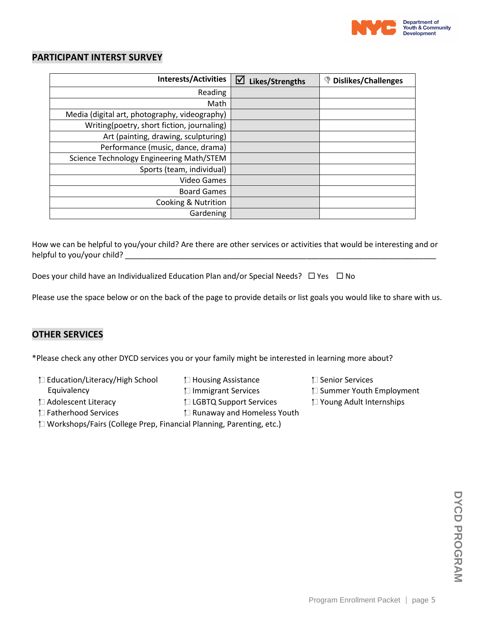

#### **PARTICIPANT INTERST SURVEY**

| <b>Interests/Activities</b>                   | ☑<br>Likes/Strengths | <b><i>S</i></b> Dislikes/Challenges |
|-----------------------------------------------|----------------------|-------------------------------------|
| Reading                                       |                      |                                     |
| Math                                          |                      |                                     |
| Media (digital art, photography, videography) |                      |                                     |
| Writing(poetry, short fiction, journaling)    |                      |                                     |
| Art (painting, drawing, sculpturing)          |                      |                                     |
| Performance (music, dance, drama)             |                      |                                     |
| Science Technology Engineering Math/STEM      |                      |                                     |
| Sports (team, individual)                     |                      |                                     |
| Video Games                                   |                      |                                     |
| <b>Board Games</b>                            |                      |                                     |
| Cooking & Nutrition                           |                      |                                     |
| Gardening                                     |                      |                                     |

How we can be helpful to you/your child? Are there are other services or activities that would be interesting and or helpful to you/your child? \_\_\_\_\_\_\_\_\_\_\_\_\_\_\_\_\_\_\_\_\_\_\_\_\_\_\_\_\_\_\_\_\_\_\_\_\_\_\_\_\_\_\_\_\_\_\_\_\_\_\_\_\_\_\_\_\_\_\_\_\_\_\_\_\_\_\_\_\_\_\_\_

Does your child have an Individualized Education Plan and/or Special Needs?  $\Box$  Yes  $\Box$  No

Please use the space below or on the back of the page to provide details or list goals you would like to share with us.

#### **OTHER SERVICES**

\*Please check any other DYCD services you or your family might be interested in learning more about?

- $\Box$  Education/Literacy/High School  $\Box$  Housing Assistance  $\Box$  Senior Services
- -
- 
- 
- Fatherhood Services Runaway and Homeless Youth Workshops/Fairs (College Prep, Financial Planning, Parenting, etc.)
- 
- Equivalency **Immigrant Services Immigrant Services Immigrant Services Summer Youth Employment**
- Adolescent Literacy LGBTQ Support Services Young Adult Internships

DYCD PROGRAM **DYCD PROGRAM**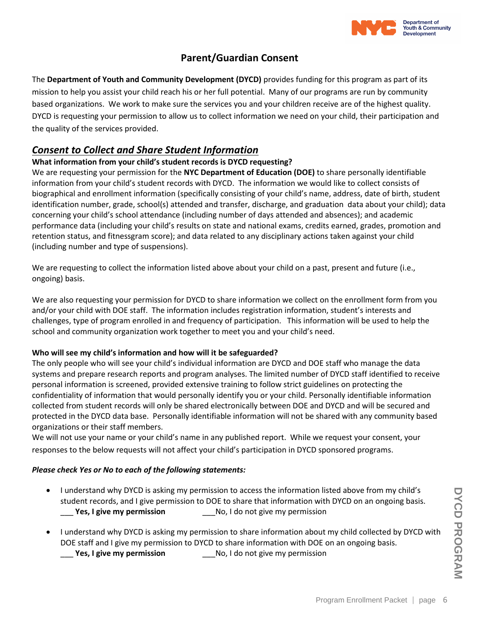

## **Parent/Guardian Consent**

The **Department of Youth and Community Development (DYCD)** provides funding for this program as part of its mission to help you assist your child reach his or her full potential. Many of our programs are run by community based organizations. We work to make sure the services you and your children receive are of the highest quality. DYCD is requesting your permission to allow us to collect information we need on your child, their participation and the quality of the services provided.

## *Consent to Collect and Share Student Information*

#### **What information from your child's student records is DYCD requesting?**

We are requesting your permission for the **NYC Department of Education (DOE)** to share personally identifiable information from your child's student records with DYCD. The information we would like to collect consists of biographical and enrollment information (specifically consisting of your child's name, address, date of birth, student identification number, grade, school(s) attended and transfer, discharge, and graduation data about your child); data concerning your child's school attendance (including number of days attended and absences); and academic performance data (including your child's results on state and national exams, credits earned, grades, promotion and retention status, and fitnessgram score); and data related to any disciplinary actions taken against your child (including number and type of suspensions).

We are requesting to collect the information listed above about your child on a past, present and future (i.e., ongoing) basis.

We are also requesting your permission for DYCD to share information we collect on the enrollment form from you and/or your child with DOE staff. The information includes registration information, student's interests and challenges, type of program enrolled in and frequency of participation. This information will be used to help the school and community organization work together to meet you and your child's need.

#### **Who will see my child's information and how will it be safeguarded?**

The only people who will see your child's individual information are DYCD and DOE staff who manage the data systems and prepare research reports and program analyses. The limited number of DYCD staff identified to receive personal information is screened, provided extensive training to follow strict guidelines on protecting the confidentiality of information that would personally identify you or your child. Personally identifiable information collected from student records will only be shared electronically between DOE and DYCD and will be secured and protected in the DYCD data base. Personally identifiable information will not be shared with any community based organizations or their staff members.

We will not use your name or your child's name in any published report. While we request your consent, your responses to the below requests will not affect your child's participation in DYCD sponsored programs.

#### *Please check Yes or No to each of the following statements:*

- I understand why DYCD is asking my permission to access the information listed above from my child's student records, and I give permission to DOE to share that information with DYCD on an ongoing basis. **Yes, I give my permission** No, I do not give my permission
- I understand why DYCD is asking my permission to share information about my child collected by DYCD with DOE staff and I give my permission to DYCD to share information with DOE on an ongoing basis. \_\_\_ **Yes, I give my permission** \_\_\_No, I do not give my permission

DYCD PROGRAM **DYCD PROGRAM**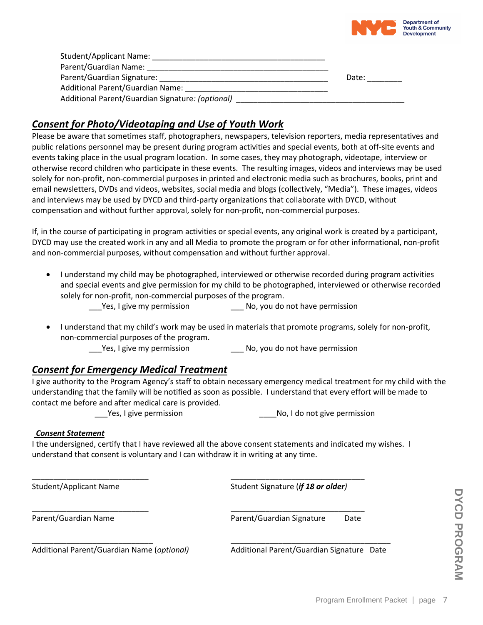

| <b>Student/Applicant Name:</b>                   |       |
|--------------------------------------------------|-------|
| Parent/Guardian Name:                            |       |
| Parent/Guardian Signature:                       | Date: |
| <b>Additional Parent/Guardian Name:</b>          |       |
| Additional Parent/Guardian Signature: (optional) |       |

## *Consent for Photo/Videotaping and Use of Youth Work*

Please be aware that sometimes staff, photographers, newspapers, television reporters, media representatives and public relations personnel may be present during program activities and special events, both at off-site events and events taking place in the usual program location. In some cases, they may photograph, videotape, interview or otherwise record children who participate in these events. The resulting images, videos and interviews may be used solely for non-profit, non-commercial purposes in printed and electronic media such as brochures, books, print and email newsletters, DVDs and videos, websites, social media and blogs (collectively, "Media"). These images, videos and interviews may be used by DYCD and third-party organizations that collaborate with DYCD, without compensation and without further approval, solely for non-profit, non-commercial purposes.

If, in the course of participating in program activities or special events, any original work is created by a participant, DYCD may use the created work in any and all Media to promote the program or for other informational, non-profit and non-commercial purposes, without compensation and without further approval.

 I understand my child may be photographed, interviewed or otherwise recorded during program activities and special events and give permission for my child to be photographed, interviewed or otherwise recorded solely for non-profit, non-commercial purposes of the program.

\_\_\_Yes, I give my permission \_\_\_ No, you do not have permission

 I understand that my child's work may be used in materials that promote programs, solely for non-profit, non-commercial purposes of the program.

Yes, I give my permission No, you do not have permission

## *Consent for Emergency Medical Treatment*

I give authority to the Program Agency's staff to obtain necessary emergency medical treatment for my child with the understanding that the family will be notified as soon as possible. I understand that every effort will be made to contact me before and after medical care is provided.

Yes, I give permission example and the No, I do not give permission

#### *Consent Statement*

I the undersigned, certify that I have reviewed all the above consent statements and indicated my wishes. I understand that consent is voluntary and I can withdraw it in writing at any time.

\_\_\_\_\_\_\_\_\_\_\_\_\_\_\_\_\_\_\_\_\_\_\_\_\_\_\_\_ \_\_\_\_\_\_\_\_\_\_\_\_\_\_\_\_\_\_\_\_\_\_\_\_\_\_\_\_\_\_\_\_\_\_\_\_\_

\_\_\_\_\_\_\_\_\_\_\_\_\_\_\_\_\_\_\_\_\_\_\_\_\_\_\_ \_\_\_\_\_\_\_\_\_\_\_\_\_\_\_\_\_\_\_\_\_\_\_\_\_\_\_\_\_\_\_ Student/Applicant Name **Student Signature (***if 18 or older*) Student Signature (*if 18 or older*)

\_\_\_\_\_\_\_\_\_\_\_\_\_\_\_\_\_\_\_\_\_\_\_\_\_\_\_ \_\_\_\_\_\_\_\_\_\_\_\_\_\_\_\_\_\_\_\_\_\_\_\_\_\_\_\_\_\_\_ Parent/Guardian Name **Parent/Guardian Signature** Date

Additional Parent/Guardian Name (*optional)* Additional Parent/Guardian Signature Date